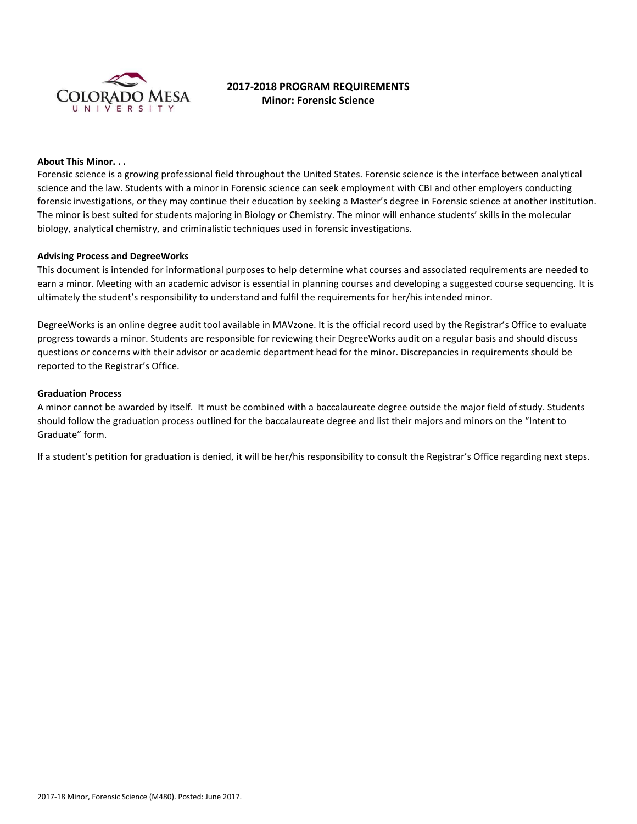

# **2017-2018 PROGRAM REQUIREMENTS Minor: Forensic Science**

#### **About This Minor. . .**

Forensic science is a growing professional field throughout the United States. Forensic science is the interface between analytical science and the law. Students with a minor in Forensic science can seek employment with CBI and other employers conducting forensic investigations, or they may continue their education by seeking a Master's degree in Forensic science at another institution. The minor is best suited for students majoring in Biology or Chemistry. The minor will enhance students' skills in the molecular biology, analytical chemistry, and criminalistic techniques used in forensic investigations.

### **Advising Process and DegreeWorks**

This document is intended for informational purposes to help determine what courses and associated requirements are needed to earn a minor. Meeting with an academic advisor is essential in planning courses and developing a suggested course sequencing. It is ultimately the student's responsibility to understand and fulfil the requirements for her/his intended minor.

DegreeWorks is an online degree audit tool available in MAVzone. It is the official record used by the Registrar's Office to evaluate progress towards a minor. Students are responsible for reviewing their DegreeWorks audit on a regular basis and should discuss questions or concerns with their advisor or academic department head for the minor. Discrepancies in requirements should be reported to the Registrar's Office.

#### **Graduation Process**

A minor cannot be awarded by itself. It must be combined with a baccalaureate degree outside the major field of study. Students should follow the graduation process outlined for the baccalaureate degree and list their majors and minors on the "Intent to Graduate" form.

If a student's petition for graduation is denied, it will be her/his responsibility to consult the Registrar's Office regarding next steps.